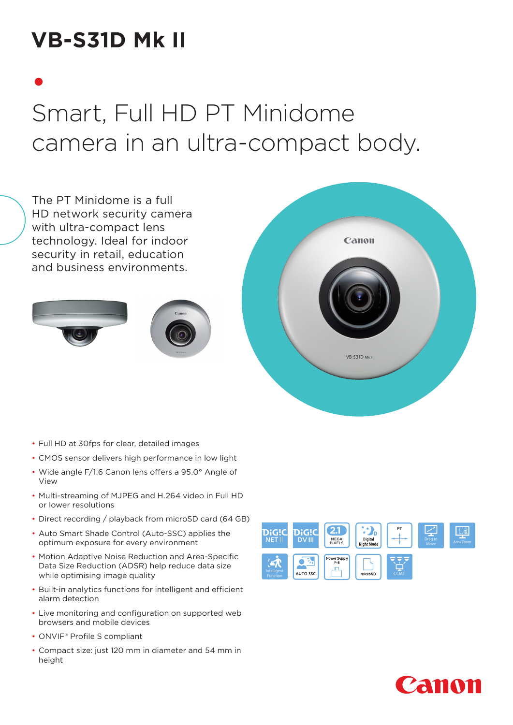# **VB-S31D Mk II**

# • Smart, Full HD PT Minidome camera in an ultra-compact body.



- Full HD at 30fps for clear, detailed images
- CMOS sensor delivers high performance in low light
- Wide angle F/1.6 Canon lens offers a 95.0° Angle of View
- Multi-streaming of MJPEG and H.264 video in Full HD or lower resolutions
- Direct recording / playback from microSD card (64 GB)
- Auto Smart Shade Control (Auto-SSC) applies the optimum exposure for every environment
- Motion Adaptive Noise Reduction and Area-Specific Data Size Reduction (ADSR) help reduce data size while optimising image quality
- Built-in analytics functions for intelligent and efficient alarm detection
- Live monitoring and configuration on supported web browsers and mobile devices
- ONVIF® Profile S compliant
- Compact size: just 120 mm in diameter and 54 mm in height



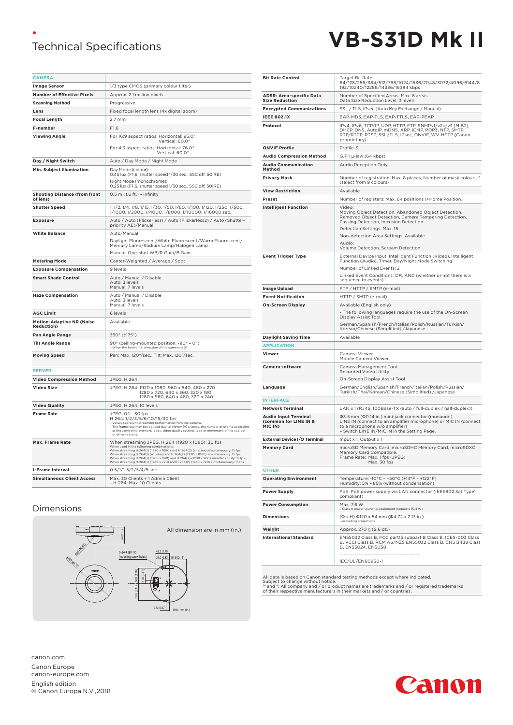## **Technical Specifications**



| <b>CAMERA</b>                                    |                                                                                                                                                                                                                                                                                                                                                                                                                                                                  |  |  |  |  |  |
|--------------------------------------------------|------------------------------------------------------------------------------------------------------------------------------------------------------------------------------------------------------------------------------------------------------------------------------------------------------------------------------------------------------------------------------------------------------------------------------------------------------------------|--|--|--|--|--|
| <b>Image Sensor</b>                              | 1/3 type CMOS (primary colour filter)                                                                                                                                                                                                                                                                                                                                                                                                                            |  |  |  |  |  |
| <b>Number of Effective Pixels</b>                | Approx. 2.1 million pixels                                                                                                                                                                                                                                                                                                                                                                                                                                       |  |  |  |  |  |
| <b>Scanning Method</b>                           | Progressive                                                                                                                                                                                                                                                                                                                                                                                                                                                      |  |  |  |  |  |
| Lens                                             | Fixed focal length lens (4x digital zoom)                                                                                                                                                                                                                                                                                                                                                                                                                        |  |  |  |  |  |
| <b>Focal Length</b>                              | $2.7$ mm                                                                                                                                                                                                                                                                                                                                                                                                                                                         |  |  |  |  |  |
| F-number                                         | F1.6                                                                                                                                                                                                                                                                                                                                                                                                                                                             |  |  |  |  |  |
| <b>Viewing Angle</b>                             | For 16:9 aspect ratios: Horizontal: 95.0°<br>Vertical: 60.0°                                                                                                                                                                                                                                                                                                                                                                                                     |  |  |  |  |  |
|                                                  | For 4:3 aspect ratios: Horizontal: 76.0°<br>Vertical: 60.0°                                                                                                                                                                                                                                                                                                                                                                                                      |  |  |  |  |  |
| Day / Night Switch                               | Auto / Day Mode / Night Mode                                                                                                                                                                                                                                                                                                                                                                                                                                     |  |  |  |  |  |
| Min. Subject Illumination                        | Day Mode (colour):<br>0.45 lux (F1.6, shutter speed 1/30 sec., SSC off, 50IRE)<br>Night Mode (monochrome):<br>0.25 lux (F1.6, shutter speed 1/30 sec., SSC off, 50IRE)                                                                                                                                                                                                                                                                                           |  |  |  |  |  |
| <b>Shooting Distance (from front</b><br>of lens) | 0.5 m (1.6 ft.) - infinity                                                                                                                                                                                                                                                                                                                                                                                                                                       |  |  |  |  |  |
| <b>Shutter Speed</b>                             | 1, 1/2, 1/4, 1/8, 1/15, 1/30, 1/50, 1/60, 1/100, 1/120, 1/250, 1/500,                                                                                                                                                                                                                                                                                                                                                                                            |  |  |  |  |  |
|                                                  | 1/1000, 1/2000, 1/4000, 1/8000, 1/10000, 1/16000 sec.                                                                                                                                                                                                                                                                                                                                                                                                            |  |  |  |  |  |
| <b>Exposure</b>                                  | Auto / Auto (Flickerless) / Auto (Flickerless2) / Auto (Shutter-<br>priority AE)/Manual                                                                                                                                                                                                                                                                                                                                                                          |  |  |  |  |  |
| <b>White Balance</b>                             | Auto/Manual<br>Daylight Fluorescent/White Fluorescent/Warm Fluorescent/<br>Mercury Lamp/Sodium Lamp/Halogen Lamp<br>Manual: One-shot WB/R Gain/B Gain                                                                                                                                                                                                                                                                                                            |  |  |  |  |  |
| <b>Metering Mode</b>                             | Center-Weighted / Average / Spot                                                                                                                                                                                                                                                                                                                                                                                                                                 |  |  |  |  |  |
| <b>Exposure Compensation</b>                     | 9 levels                                                                                                                                                                                                                                                                                                                                                                                                                                                         |  |  |  |  |  |
| <b>Smart Shade Control</b>                       | Auto / Manual / Disable<br>Auto: 3 levels<br>Manual: 7 levels                                                                                                                                                                                                                                                                                                                                                                                                    |  |  |  |  |  |
| <b>Haze Compensation</b>                         | Auto / Manual / Disable<br>Auto: 3 levels<br>Manual: 7 levels                                                                                                                                                                                                                                                                                                                                                                                                    |  |  |  |  |  |
| <b>AGC Limit</b>                                 | 6 levels                                                                                                                                                                                                                                                                                                                                                                                                                                                         |  |  |  |  |  |
| <b>Motion-Adaptive NR (Noise</b><br>Reduction)   | Available                                                                                                                                                                                                                                                                                                                                                                                                                                                        |  |  |  |  |  |
| Pan Angle Range                                  | 350° (±175°)                                                                                                                                                                                                                                                                                                                                                                                                                                                     |  |  |  |  |  |
| <b>Tilt Angle Range</b>                          | 90° (ceiling-mounted position: -90° - 0°)<br>- When the horizontal direction of the camera is 0°                                                                                                                                                                                                                                                                                                                                                                 |  |  |  |  |  |
| <b>Moving Speed</b>                              | Pan: Max. 120°/sec., Tilt: Max. 120°/sec.                                                                                                                                                                                                                                                                                                                                                                                                                        |  |  |  |  |  |
| <b>SERVER</b>                                    |                                                                                                                                                                                                                                                                                                                                                                                                                                                                  |  |  |  |  |  |
| <b>Video Compression Method</b>                  | JPEG, H.264                                                                                                                                                                                                                                                                                                                                                                                                                                                      |  |  |  |  |  |
| Video Size                                       | JPEG, H.264: 1920 x 1080, 960 x 540, 480 x 270<br>1280 x 720, 640 x 360, 320 x 180<br>1280 x 960, 640 x 480, 320 x 240                                                                                                                                                                                                                                                                                                                                           |  |  |  |  |  |
| <b>Video Quality</b>                             | JPEG, H.264: 10 levels                                                                                                                                                                                                                                                                                                                                                                                                                                           |  |  |  |  |  |
| <b>Frame Rate</b>                                | JPEG: 0.1 - 30 fps<br>H.264: 1/2/3/5/6/10/15/30 fps<br>- Values represent streaming performance from the camera.<br>- The frame rate may be reduced due to Viewer PC's specs, the number of clients accessing<br>at the same time, network loads, video quality setting, type or movement of the subject<br>or other reasons.                                                                                                                                    |  |  |  |  |  |
| Max. Frame Rate                                  | When streaming JPEG, H.264 (1920 x 1080): 30 fps<br>When used in the following combinations:<br>When streaming H.264(1) (1920 x 1080) and H.264(2) (all sizes) simultaneously: 15 fps<br>When streaming H.264(1) (all sizes) and H.264(2) (1920 x 1080) simultaneously: 15 fps<br>When streaming H.264(1) (1280 x 960) and H.264(2) (1280 x 960) simultaneously: 15 fps<br>When streaming H.264(1) (1280 x 720) and H.264(2) (1280 x 720) simultaneously: 15 fps |  |  |  |  |  |
| <b>I-Frame Interval</b>                          | 0.5/1/1.5/2/3/4/5 sec.                                                                                                                                                                                                                                                                                                                                                                                                                                           |  |  |  |  |  |
| <b>Simultaneous Client Access</b>                | Max. 30 Clients + 1 Admin Client<br>- H.264: Max. 10 Clients                                                                                                                                                                                                                                                                                                                                                                                                     |  |  |  |  |  |

### Dimensions



canon.com Canon Europe canon-europe.com English edition **©** Canon Europa N.V.,2018

|                                                                 | Target Bit Rate:<br>64/128/256/384/512/768/1024/1536/2048/3072/4096/6144/8<br>192/10240/12288/14336/16384 kbps                                                                                                                                                                             |  |  |  |  |
|-----------------------------------------------------------------|--------------------------------------------------------------------------------------------------------------------------------------------------------------------------------------------------------------------------------------------------------------------------------------------|--|--|--|--|
| <b>ADSR: Area-specific Data</b><br><b>Size Reduction</b>        | Number of Specified Areas: Max. 8 areas<br>Data Size Reduction Level: 3 levels                                                                                                                                                                                                             |  |  |  |  |
| <b>Encrypted Communications</b>                                 | SSL / TLS, IPsec (Auto Key Exchange / Manual)                                                                                                                                                                                                                                              |  |  |  |  |
| <b>IEEE 802.1X</b>                                              | EAP-MD5, EAP-TLS, EAP-TTLS, EAP-PEAP                                                                                                                                                                                                                                                       |  |  |  |  |
| Protocol                                                        | IPv4, IPv6, TCP/IP, UDP, HTTP, FTP, SNMPv1/v2c/v3 (MIB2),<br>DHCP, DNS, AutoIP, mDNS, ARP, ICMP, POP3, NTP, SMTP,<br>RTP/RTCP, RTSP, SSL/TLS, IPsec, ONVIF, WV-HTTP (Canon<br>proprietary)                                                                                                 |  |  |  |  |
| <b>ONVIF Profile</b>                                            | Profile-S                                                                                                                                                                                                                                                                                  |  |  |  |  |
| <b>Audio Compression Method</b>                                 | G.711 µ-law (64 kbps)                                                                                                                                                                                                                                                                      |  |  |  |  |
| <b>Audio Communication</b><br>Method                            | Audio Reception Only                                                                                                                                                                                                                                                                       |  |  |  |  |
| <b>Privacy Mask</b>                                             | Number of registration: Max. 8 places, Number of mask colours: 1<br>(select from 9 colours)                                                                                                                                                                                                |  |  |  |  |
| <b>View Restriction</b>                                         | Available                                                                                                                                                                                                                                                                                  |  |  |  |  |
| <b>Preset</b>                                                   | Number of registers: Max. 64 positions (+Home Position)                                                                                                                                                                                                                                    |  |  |  |  |
| <b>Intelligent Function</b>                                     | Video:<br>Moving Object Detection, Abandoned Object Detection,<br>Removed Object Detection, Camera Tampering Detection,<br>Passing Detection, Intrusion Detection<br>Detection Settings: Max. 15<br>Non-detection Area Settings: Available<br>Audio:<br>Volume Detection, Scream Detection |  |  |  |  |
| <b>Event Trigger Type</b>                                       | External Device Input, Intelligent Function (Video), Intelligent<br>Function (Audio), Timer, Day/Night Mode Switching<br>Number of Linked Events: 2<br>Linked Event Conditions: OR, AND (whether or not there is a<br>sequence to events)                                                  |  |  |  |  |
| Image Upload                                                    | FTP / HTTP / SMTP (e-mail)                                                                                                                                                                                                                                                                 |  |  |  |  |
| <b>Event Notification</b>                                       | HTTP / SMTP (e-mail)                                                                                                                                                                                                                                                                       |  |  |  |  |
| <b>On-Screen Display</b>                                        | Available (English only)<br>- The following languages require the use of the On-Screen<br>Display Assist Tool.<br>German/Spanish/French/Italian/Polish/Russian/Turkish/<br>Korean/Chinese (Simplified) /Japanese                                                                           |  |  |  |  |
| <b>Daylight Saving Time</b>                                     | Available                                                                                                                                                                                                                                                                                  |  |  |  |  |
| <b>APPLICATION</b>                                              |                                                                                                                                                                                                                                                                                            |  |  |  |  |
| Viewer                                                          | Camera Viewer<br>Mobile Camera Viewer                                                                                                                                                                                                                                                      |  |  |  |  |
|                                                                 | Camera Management Tool<br>Recorded Video Utility<br>On-Screen Display Assist Tool                                                                                                                                                                                                          |  |  |  |  |
| <b>Camera software</b>                                          |                                                                                                                                                                                                                                                                                            |  |  |  |  |
| Language                                                        | German/English/Spanish/French/Italian/Polish/Russian/                                                                                                                                                                                                                                      |  |  |  |  |
| <b>INTERFACE</b>                                                | Turkish/Thai/Korean/Chinese (Simplified) /Japanese                                                                                                                                                                                                                                         |  |  |  |  |
| <b>Network Terminal</b>                                         | LAN x 1 (RJ45, 100Base-TX (auto / full-duplex / half-duplex))                                                                                                                                                                                                                              |  |  |  |  |
| <b>Audio Input Terminal</b><br>(common for LINE IN &<br>MIC IN) | Φ3.5 mm (Φ0.14 in.) mini-jack connector (monaural)<br>LINE IN (connect to an amplifier microphone) or MIC IN (connect<br>to a microphone w/o amplifier)<br>- Switch LINE IN/MIC IN in the Setting Page.                                                                                    |  |  |  |  |
| <b>External Device I/O Terminal</b>                             | Input $x$ 1, Output $x$ 1                                                                                                                                                                                                                                                                  |  |  |  |  |
| <b>Memory Card</b>                                              | microSD Memory Card, microSDHC Memory Card, microSDXC<br>Memory Card Compatible.<br>Frame Rate: Max. 1 fps (JPEG)<br>Plax. 30 Tps                                                                                                                                                          |  |  |  |  |
| <b>OTHER</b>                                                    |                                                                                                                                                                                                                                                                                            |  |  |  |  |
| <b>Operating Environment</b>                                    | Temperature: -10°C - +50°C (+14°F - +122°F)<br>Humidity: 5% - 85% (without condensation)                                                                                                                                                                                                   |  |  |  |  |
| <b>Power Supply</b>                                             | PoE: PoE power supply via LAN connector (IEEE802.3at Type1<br>compliant)                                                                                                                                                                                                                   |  |  |  |  |
| <b>Power Consumption</b>                                        | Max. 7.6 W<br>- Class 0 power sourcing equipment (requests 15.4 W)                                                                                                                                                                                                                         |  |  |  |  |
| <b>Dimensions</b>                                               | (Φ x H) Φ120 x 54 mm (Φ4.72 x 2.13 in.)<br>- excluding projections                                                                                                                                                                                                                         |  |  |  |  |
| Weight                                                          | Approx. 270 g (9.6 oz.)                                                                                                                                                                                                                                                                    |  |  |  |  |
| <b>International Standard</b>                                   | EN55032 Class B, FCC part15 subpart B Class B, ICES-003 Class<br>B, VCCI Class B, RCM AS/NZS EN55032 Class B, CNS13438 Class<br>B, EN55024, EN50581<br>.                                                                                                                                   |  |  |  |  |

All data is based on Canon standard testing methods except where indicated.<br>Subject to change without notice.<br>™ and \*: All company and / or product names are trademarks and / or registered trademarks<br>of their respective ma